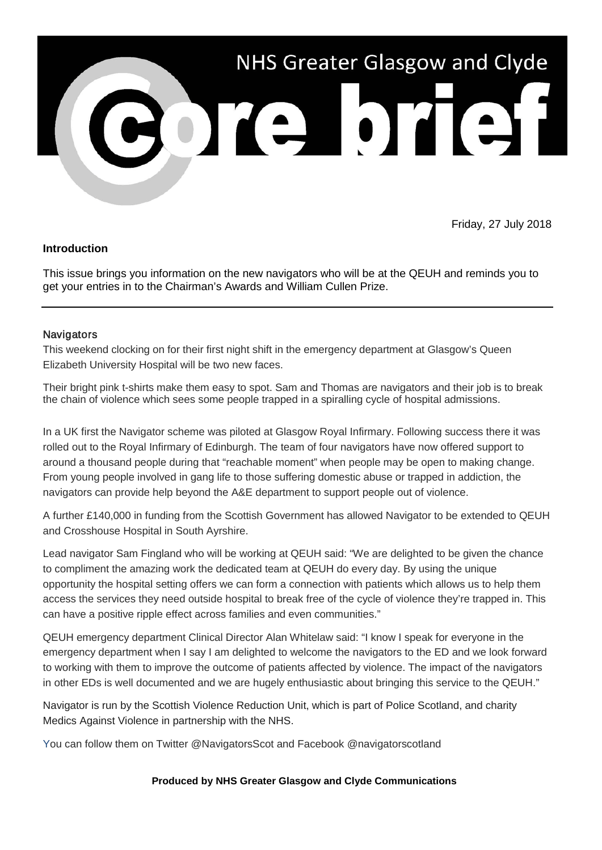

# Friday, 27 July 2018

### **Introduction**

This issue brings you information on the new navigators who will be at the QEUH and reminds you to get your entries in to the Chairman's Awards and William Cullen Prize.

### **Navigators**

This weekend clocking on for their first night shift in the emergency department at Glasgow's Queen Elizabeth University Hospital will be two new faces.

Their bright pink t-shirts make them easy to spot. Sam and Thomas are navigators and their job is to break the chain of violence which sees some people trapped in a spiralling cycle of hospital admissions.

In a UK first the Navigator scheme was piloted at Glasgow Royal Infirmary. Following success there it was rolled out to the Royal Infirmary of Edinburgh. The team of four navigators have now offered support to around a thousand people during that "reachable moment" when people may be open to making change. From young people involved in gang life to those suffering domestic abuse or trapped in addiction, the navigators can provide help beyond the A&E department to support people out of violence.

A further £140,000 in funding from the Scottish Government has allowed Navigator to be extended to QEUH and Crosshouse Hospital in South Ayrshire.

Lead navigator Sam Fingland who will be working at QEUH said: "We are delighted to be given the chance to compliment the amazing work the dedicated team at QEUH do every day. By using the unique opportunity the hospital setting offers we can form a connection with patients which allows us to help them access the services they need outside hospital to break free of the cycle of violence they're trapped in. This can have a positive ripple effect across families and even communities."

QEUH emergency department Clinical Director Alan Whitelaw said: "I know I speak for everyone in the emergency department when I say I am delighted to welcome the navigators to the ED and we look forward to working with them to improve the outcome of patients affected by violence. The impact of the navigators in other EDs is well documented and we are hugely enthusiastic about bringing this service to the QEUH."

Navigator is run by the Scottish Violence Reduction Unit, which is part of Police Scotland, and charity Medics Against Violence in partnership with the NHS.

You can follow them on Twitter @NavigatorsScot and Facebook @navigatorscotland

#### **Produced by NHS Greater Glasgow and Clyde Communications**